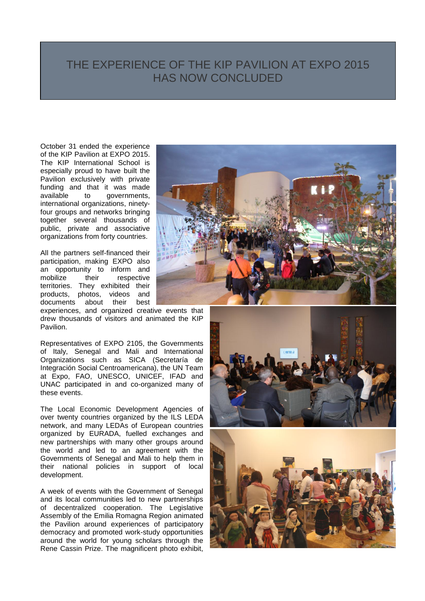## THE EXPERIENCE OF THE KIP PAVILION AT EXPO 2015 HAS NOW CONCLUDED

October 31 ended the experience of the KIP Pavilion at EXPO 2015. The KIP International School is especially proud to have built the Pavilion exclusively with private funding and that it was made available to governments, international organizations, ninetyfour groups and networks bringing together several thousands of public, private and associative organizations from forty countries.

ī

All the partners self-financed their participation, making EXPO also an opportunity to inform and mobilize their respective territories. They exhibited their products, photos, videos and documents about their best

experiences, and organized creative events that drew thousands of visitors and animated the KIP Pavilion.

Representatives of EXPO 2105, the Governments of Italy, Senegal and Mali and International Organizations such as SICA (Secretaría de Integración Social Centroamericana), the UN Team at Expo, FAO, UNESCO, UNICEF, IFAD and UNAC participated in and co-organized many of these events.

The Local Economic Development Agencies of over twenty countries organized by the ILS LEDA network, and many LEDAs of European countries organized by EURADA, fuelled exchanges and new partnerships with many other groups around the world and led to an agreement with the Governments of Senegal and Mali to help them in their national policies in support of local development.

A week of events with the Government of Senegal and its local communities led to new partnerships of decentralized cooperation. The Legislative Assembly of the Emilia Romagna Region animated the Pavilion around experiences of participatory democracy and promoted work-study opportunities around the world for young scholars through the Rene Cassin Prize. The magnificent photo exhibit,





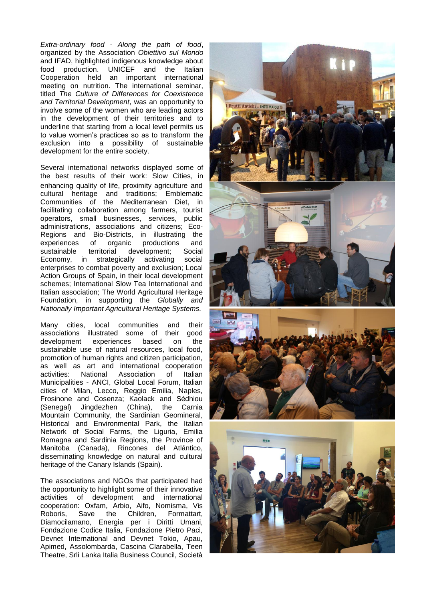*Extra-ordinary food - Along the path of food*, organized by the Association *Obiettivo sul Mondo* and IFAD, highlighted indigenous knowledge about food production. UNICEF and the Italian Cooperation held an important international meeting on nutrition. The international seminar, titled *The Culture of Differences for Coexistence and Territorial Development*, was an opportunity to involve some of the women who are leading actors in the development of their territories and to underline that starting from a local level permits us to value women's practices so as to transform the exclusion into a possibility of sustainable development for the entire society.

Several international networks displayed some of the best results of their work: Slow Cities, in enhancing quality of life, proximity agriculture and cultural heritage and traditions; Emblematic Communities of the Mediterranean Diet, in facilitating collaboration among farmers, tourist operators, small businesses, services, public administrations, associations and citizens; Eco-Regions and Bio-Districts, in illustrating the experiences of organic productions and sustainable territorial development; Social Economy, in strategically activating social enterprises to combat poverty and exclusion; Local Action Groups of Spain, in their local development schemes; International Slow Tea International and Italian association; The World Agricultural Heritage Foundation, in supporting the *Globally and Nationally Important Agricultural Heritage Systems.*

Many cities, local communities and their<br>associations illustrated some of their good associations illustrated some of their development experiences based on the sustainable use of natural resources, local food, promotion of human rights and citizen participation, as well as art and international cooperation activities: National Association of Italian Municipalities - ANCI, Global Local Forum, Italian cities of Milan, Lecco, Reggio Emilia, Naples, Frosinone and Cosenza; Kaolack and Sédhiou (Senegal) Jingdezhen (China), the Carnia Mountain Community, the Sardinian Geomineral, Historical and Environmental Park, the Italian Network of Social Farms, the Liguria, Emilia Romagna and Sardinia Regions, the Province of Manitoba (Canada), Rincones del Atlántico, disseminating knowledge on natural and cultural heritage of the Canary Islands (Spain).

The associations and NGOs that participated had the opportunity to highlight some of their innovative activities of development and international cooperation: Oxfam, Arbio, Aifo, Nomisma, Vis Roboris, Save the Children, Formattart, Diamocilamano, Energia per i Diritti Umani, Fondazione Codice Italia, Fondazione Pietro Paci, Devnet International and Devnet Tokio, Apau, Apimed, Assolombarda, Cascina Clarabella, Teen Theatre, Srli Lanka Italia Business Council, Società

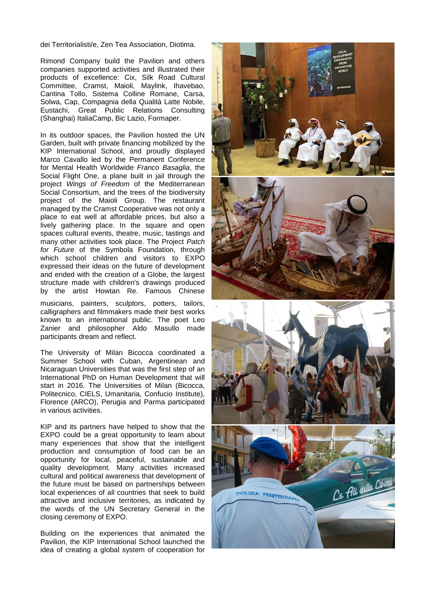dei Territorialisti/e, Zen Tea Association, Diotima.

Rimond Company build the Pavilion and others companies supported activities and illustrated their products of excellence: Cix, Silk Road Cultural Committee, Cramst, Maioli, Maylink, Ihavebao, Cantina Tollo, Sistema Colline Romane, Carsa, Solwa, Cap, Compagnia della Qualità Latte Nobile, Eustachi, Great Public Relations Consulting (Shanghai) ItaliaCamp, Bic Lazio, Formaper.

In its outdoor spaces, the Pavilion hosted the UN Garden, built with private financing mobilized by the KIP International School, and proudly displayed Marco Cavallo led by the Permanent Conference for Mental Health Worldwide *Franco Basaglia*, the Social Flight One, a plane built in jail through the project *Wings of Freedom* of the Mediterranean Social Consortium, and the trees of the biodiversity project of the Maioli Group. The restaurant managed by the Cramst Cooperative was not only a place to eat well at affordable prices, but also a lively gathering place. In the square and open spaces cultural events, theatre, music, tastings and many other activities took place. The Project *Patch for Future* of the Symbola Foundation, through which school children and visitors to EXPO expressed their ideas on the future of development and ended with the creation of a Globe, the largest structure made with children's drawings produced by the artist Howtan Re. Famous Chinese

musicians, painters, sculptors, potters, tailors, calligraphers and filmmakers made their best works known to an international public. The poet Leo Zanier and philosopher Aldo Masullo made participants dream and reflect.

The University of Milan Bicocca coordinated a Summer School with Cuban, Argentinean and Nicaraguan Universities that was the first step of an International PhD on Human Development that will start in 2016. The Universities of Milan (Bicocca, Politecnico, CIELS, Umanitaria, Confucio Institute), Florence (ARCO), Perugia and Parma participated in various activities.

KIP and its partners have helped to show that the EXPO could be a great opportunity to learn about many experiences that show that the intelligent production and consumption of food can be an opportunity for local, peaceful, sustainable and quality development. Many activities increased cultural and political awareness that development of the future must be based on partnerships between local experiences of all countries that seek to build attractive and inclusive territories, as indicated by the words of the UN Secretary General in the closing ceremony of EXPO.

Building on the experiences that animated the Pavilion, the KIP International School launched the idea of creating a global system of cooperation for